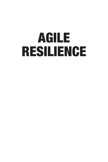# AGILE RESILIENCE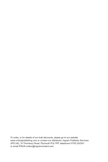To order, or for details of our bulk discounts, please go to our website www.criticalpublishing.com or contact our distributor, Ingram Publisher Services (IPS UK), 10 Thornbury Road, Plymouth PL6 7PP, telephone 01752 202301 or email IPSUK.orders@ingramcontent.com.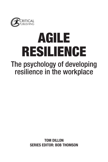

## AGILE RESILIENCE The psychology of developing resilience in the workplace

**TOM DILLON SERIES EDITOR: BOB THOMSON**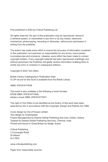First published in 2022 by Critical Publishing Ltd

All rights reserved. No part of this publication may be reproduced, stored in a retrieval system, or transmitted in any form or by any means, electronic, mechanical, photocopying, recording or otherwise, without prior permission in writing from the publisher.

The author has made every effort to ensure the accuracy of information contained in this publication, but assumes no responsibility for any errors, inaccuracies, inconsistencies and omissions. Likewise, every effort has been made to contact copyright holders. If any copyright material has been reproduced unwittingly and without permission the Publisher will gladly receive information enabling them to rectify any error or omission in subsequent editions.

Copyright © 2022 Tom Dillon

British Library Cataloguing in Publication Data A CIP record for this book is available from the British Library

ISBN: 9781914171659

This book is also available in the following e-book formats: EPUB ISBN: 9781914171666 Adobe e-book ISBN: 9781914171673

The right of Tom Dillon to be identified as the Author of this work have been asserted by him in accordance with the Copyright, Design and Patents Act 1988.

Cover design by Out of House Limited Text design by Greensplash Project Management by Deanta Global Publishing Services, Dublin, Ireland Typeset by Deanta Global Publishing Services, Chennai, India Printed and bound in Great Britain by 4edge, Essex

Critical Publishing 3 Connaught Road St Albans AL3 5RX

www.criticalpublishing.com

Paper from responsible sources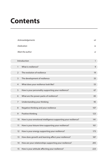### **Contents**

|                   | Acknowledgements                                               | vii |
|-------------------|----------------------------------------------------------------|-----|
|                   | Dedication                                                     | iх  |
|                   | Meet the author                                                | хi  |
| Introduction      |                                                                |     |
| $\mathbf{1}$      | What is resilience?                                            | 9   |
| $\overline{2}$    | The evolution of resilience                                    | 19  |
| 3                 | The development of resilience                                  | 33  |
| $\overline{4}$    | What does your resilience look like?                           | 53  |
| 5                 | How is your personality supporting your resilience?            | 67  |
| 6                 | What are the power packs of resilience?                        | 83  |
| 7                 | Understanding your thinking                                    | 95  |
| 8                 | Negative thinking and your resilience                          | 107 |
| 9                 | Positive thinking                                              | 123 |
| 10                | How is your emotional intelligence supporting your resilience? | 141 |
| 11                | How is your leisure time supporting your resilience?           | 161 |
| $12 \overline{ }$ | How is your energy supporting your resilience?                 | 173 |
| 13                | How does growth and learning affect your resilience?           | 187 |
| 14                | How are your relationships supporting your resilience?         | 205 |
| 15                | How is your attitude affecting your resilience?                | 223 |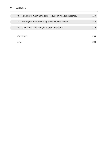#### **vi** CONTENTS

| 16         | How is your meaningful purpose supporting your resilience? | 243 |
|------------|------------------------------------------------------------|-----|
|            |                                                            |     |
| 17         | How is your workplace supporting your resilience?          | 259 |
|            |                                                            |     |
| 18         | What has Covid-19 taught us about resilience?              | 279 |
|            |                                                            |     |
|            |                                                            |     |
|            |                                                            |     |
| Conclusion |                                                            |     |
|            |                                                            |     |
| Index      |                                                            |     |
|            |                                                            |     |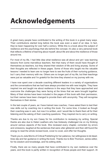### **Acknowledgements**

A great many people have contributed to the writing of this book in a great many ways. Their contributions started long before the book was even a seed of an idea. In fact, they've been happening for over half a century. While this is a book about the subject of resilience and the psychology that sits behind the concept, it's also a very personal book that reflects a lifetime of learning about myself, about life and about the resilience of those around me.

For most of my life, I had little idea what resilience was all about and yet I was learning lessons from some marvellous teachers. Not that many of them would have thought of themselves as teachers, but they shared their wisdom of life and living anyway. Some of their thoughts are reflected in these pages. Some of those who taught me the valuable lessons I needed to learn are no longer here to see the fruits of their nurturing guidance, but I carry their memory with me. Others are no longer part of my life, but their teachings were just as valuable and I'm grateful for the time they shared on my journey with me.

I have now spent over a decade coaching different leaders in a variety of organisations and the conversations that we had have always provided me with new insights. They have inspired me and taught me about resilience in the ways that they have approached and overcome the challenges they were facing at the times that we were brought together. Many of their stories have been included in the pages of this book with their permission, but their names have been changed to provide them with anonymity. They will recognise themselves in their stories.

In the last couple of years, as I have trained new coaches, I have asked them to test their new skills out by coaching me in writing this book. For some time, it looked as though their coaching was in vain, but now it is written, and I would like to thank them all for their listening and the asking of their coaching questions. They inspired me to carry on writing.

Thanks are due to my son Casey for his contribution to reviewing my writing. Special thanks are also due to Helen Leathers who has tirelessly challenged me on my thinking around various aspects of the book. She reviewed every chapter, corrected my errors and omissions, laughed at the sentences that were utter gibberish and then still found the energy to read the whole revised book, cover to cover, and offer her thoughts.

Thank you to Julia Morris of Critical Publishing for her patience, her willingness to let deadlines slip and her guidance in writing the book. Thanks too to Bob Thomson, series editor, for his wisdom and knowledge, and his editing skills.

Finally, there are so many people that have contributed to my own resilience over the years, and this book is partly written in recognition of those people and their support. At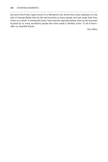the end of the Frank Capra movie *It's a Wonderful Life*, there's the lovely realisation on the part of George Bailey that his life had touched so many people and had made their lives richer as a result. In writing this book I have had the opposite feeling; that my life has been touched by so many wonderful people who have made it infinitely richer. To all of them I offer my heartfelt thanks.

*Tom Dillon*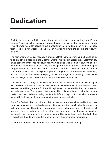### **Dedication**

Back in the summer of 2019, I was with my sister Louise at a concert in Hyde Park in London. As we sat in the sunshine, enjoying the day, she told me that her son, my nephew Fred who was 13, might possibly have glandular fever. He had not been his normal boisterous self for a few weeks. His father John was taking him to the doctors the following morning.

The next afternoon, Louise received a phone call that changed everything. She was asked to go straight to a hospital in the Midlands where Fred was to undergo tests. Later that day, it was confirmed that Fred had leukemia. What followed was months of gruelling chemotherapy and radiotherapy that is really not designed for a young fragile body. Fred spent long periods of time in hospital and his mum and dad and his younger brother had their lives turned upside down. Everyone hoped and prayed that all would be well eventually, but it wasn't to be. Fred died in the spring of 2020 at the age of 14, his body unable to deal with the ravages of his illness and the medical treatment he received.

What I saw in Fred during that time was a stoicism that I found hard to fathom. He accepted his condition, his treatment and the restrictions imposed on his life while in and out of hospital with incredible grace and fortitude. His spirit was undiminished by his illness, even as his body weakened. Fred was resilience personified. His parents and his brother demonstrated their own resilience during that time in different ways, but it was always present, along with their love, as they were going through the unimaginable.

Since Fred's death, Louise, John and Arthur have somehow remained resilient and have found a meaningful purpose in raising tens of thousands of pounds for charities supporting childhood leukemia. There is no bouncing back from such an experience, there is heartbreak and there is endurance, but I constantly see resilience in the three of them as they continue to reach forward to their changed futures. They carry their love for Fred with them in everything they do and keep his memory alive in their charitable fundraising.

This book is for Fred, Arthur, Louse and John. The most resilient of people.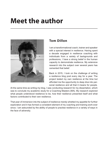### **Meet the author**



#### **Tom Dillon**

I am a transformational coach, trainer and speaker with a special interest in resilience. Having spent a decade engaged in resilience coaching with individuals from a variety of backgrounds and professions, I have a strong belief in the human capacity to demonstrate resilience. My extensive research into the subject over several years has cemented that belief.

Back in 2015, I took on the challenge of writing a resilience blog post every day for a year. The project tested my own resilience at the time but afforded me the opportunity to deep dive into personal resilience and all that it means for people.

At the same time as writing my blog, I was conducting research for my dissertation, which was to conclude my academic study for a Coaching Masters (MA). My research explored what people understood resilience to be, how their resilience presented itself and what factors contributed to their own resilience.

That year of immersion into the subject of resilience merely whetted my appetite for further exploration and it has formed a consistent element of my coaching and training work ever since. I am astounded by the ability of people to practise resilience in a variety of ways in the face of adversity.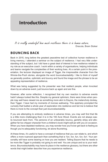#### **Introduction**

It is really wonderful how much resilience there is in human nature. Dracula, Bram Stoker

#### **BOUNCING BACK**

Back in 2015, long before the greatest peacetime test of collective human resilience in living memory, I attended a seminar on the subject of resilience. I had very little understanding of the subject, but I did have a great deal of interest in how resilience related to my role as an executive coach. I work within a variety of organisations, helping individuals and teams navigate the complexities of their working lives. At a certain point in the presentation, the lecturer displayed an image of Tigger, the irrepressible character from the Winnie-the-Pooh stories, alongside the word *bouncebackability*. I like to think of myself as generally positive, optimistic and bouncy and found the image and the phrase to be an appealing representation of resilience.

What was being suggested by the presenter was that resilient people, when knocked down by an adverse event, just bounce back up again and are fine.

However, after some reflection, I recognised that my own reaction to adverse events hadn't always looked like this. Despite my general optimism, there were times when people may well have viewed me as something more akin to Eeyore, the melancholy donkey, than Tigger. I have had my moments of morose wallowing. This epiphany prompted the curiosity that fuelled a whole year of exploration into resilience and led me to believe that there is more to the concept than just *bouncebackability*.

If you are attempting to embody resilience in adverse times, you may well find that life is a little more challenging than it is in the 100 Acre Wood. Events are not always easily bounced back from. The persona of an unbearably bouncy, garishly stripy and altogether far too chipper character from a children's book might well jar with you on occasion. When you have depleted resilience, you may wonder how you'll ever get back to feeling as though you're adequately functioning, let alone flourishing.

At these times, it's useful to have a concept of resilience that you can relate to, and which offers a more nuanced approach than something that is '*fun, fun, fun, fun, fun*'. Your personality will have some bearing on how you are resilient. Telling Eeyore that he needs to be more like Tigger is probably not going to end well. You are unique and so is your resilience. *Bouncebackability* may have its place in the resilience glossary, but there are other words that might better describe how you experience resilience.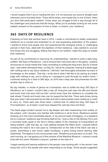I would imagine that if you're reading this text, it is not because you bounce straight back whenever you're knocked down. There will be times, and maybe this is one of them, when you don't feel particularly resilient. Times when you struggle to find a way through all of the challenges and pressures that life brings. What you're probably looking for are some realistic answers to the question of how to retain, or restore, your resilience.

#### **365 DAYS OF RESILIENCE**

Following on from that seminar back in 2015, I made a commitment to better understand resilience as a concept and embarked on an ever-expanding exploration of the subject. I wanted to know how people who had experienced life-changing events, or challenging periods in their lives, dealt with the depletion of their resilience. I also wanted to uncover how those who are struggling, feeling that they're not resilient, might find ways to bolster their resilience.

As part of my commitment to improving my understanding, I started to write a daily blog, entitled '*365 Days of Resilience*'. Just to ensure that I had some skin in the game, I publicly announced on social media that I was committing to writing the blog every day for a whole year. I was rather dismayed when, on Day 25, I sat at my computer, staring at a blank page with nothing new to say about resilience. I felt that I had thoroughly exhausted my bank of knowledge on the subject. That day I wrote about what it felt like to be staring at a blank page with nothing to say, and in doing so I managed to push through my writer's block. I continued writing for a total of 366 days, as 2016 was a leap year and presented me with another day to write on.

My big mistake, or stroke of genius as it transpired, was to entitle the blog *365 Days of Resilience*, as it meant I couldn't take a day off. Everyone had seen the title and friends and loved ones had even told me that I would never have the resilience to complete the task ahead. Friends and loved ones can be supportive like that. There were times during that year when I felt ensnared by the title and had to demonstrate some resilience in order to carry on. There were also times when I wished that I'd called the blog '*365 Days of Procrastination*', so at least I could have skipped the odd day here and there.

The blank page incident caused me to dig deeper and start researching more widely on the subject, until I became very familiar with resilience in all its forms. Resilience started showing up in the most remarkable places. In my second week of blogging, on a weekend trip to Liverpool, resilience was throwing itself at me. I took a ride on the Mersey Ferry and a recorded audio guide to the ferry's history talked of the character of Liverpudlians as being resilient. Later that day, as I was walking towards the Albert Dock, I paused before crossing the road to let a taxi pass by. Emblazoned on the side of the black cab was a poster, advertising a new movie called *Southpaw*, a gritty boxing drama starring Jake Gyllenhaal. The legend on the movie poster read, '*Resilience just got back on its feet*'. The next morning, as I sat gazing out of the window of the Maritime Museum, I noticed a small boat with the name '*Resilient Liverpool*', painted on the side of it.

I began seeing and hearing resilience in the people I was working with, in the stories I was being told, and in the people who were responding to my blogs. Some people suggested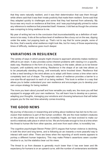that they were naturally resilient, and it was their determination that saw them through while others said that it was their innate positivity that made them resilient. Some said that they adapted quickly to challenges and some that they had learned from adversity. My focus was very much on resilience at that time, and I was psychologically primed to notice any reference to resilience that presented itself. However, it did feel as though the universe was conspiring to bring resilience to me.

My year of writing led me to the conclusion that *bouncebackability* as a definition of resilience is too easy. It sits at the surface level of resilience like a buoy out on the sea, dipping under the water, but popping back up. That's not to say that for some people, some of the time, that's exactly what resilience might look like, but for many of those experiencing times of difficulty, resilience goes much deeper.

#### **VARIATIONS IN RESILIENCE**

The variety of ways in which people might choose to approach adversity makes resilience difficult to pin down. It also provides some inherent problems with viewing it in a specific, static way. Resilience in the form of a buoy, bobbing on the water, allows us to be forever buoyant, until suddenly we're sinking. Resilience in the shape of an oak tree allows us to be perpetually standing strong, until eventually we're knocked down. Resilience that is like a reed bending in the wind allows us to adapt until there comes a time when we're completely bent out of shape. The enigmatic nature of resilience provides a barrier to a one-size-fits-all approach to each of us being resilient. This book is written in a way that allows you to better understand your own resilience and encourages you to develop your own unique strategy for being resilient.

The more you learn about yourself and how versatile you really are, the more you will feel equipped to engage with your own resilience. You will learn how to develop as a person, adapting your thoughts, managing your emotions and choosing behaviours that will better prepare you for the next time adversity comes knocking.

#### **THE GOOD NEWS**

My journey of discovery in researching and writing about resilience has led me to the conclusion that resilience is part of the human condition. We are the most resilient creatures on the planet and while our bodies are incredibly fragile, we have evolved to make our world a relatively safe place in which to live. We are fortunate enough to live at a time when the threat to human life from other species, and even from each other, is incredibly low.

The cognitive psychologist Steven Pinker (2011) argues that human violence is declining, in both the short and long terms, and is following an arc towards a more peaceful way to interact with each other. There are times when the reporting of world events appears to portray a different human trajectory. This may make Pinker's assertions seem counterintuitive to us, but the statistics bear out his views.

The threat to us from disease is generally much lower than it has ever been and life expectancy for humans is on an upward curve, with the number of centenarians worldwide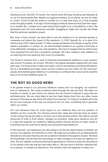standing at over 300,000. Of course, the natural world will keep throwing new diseases at us, as if to demonstrate that, despite our apparent mastery of our planet, we are not really in control. Covid-19 had the power to humble us in a way that many of us had probably never thought possible. In an age of technological medical advances that have the capacity to sustain life, a simple virus came along that brought us to a standstill for a time. We witnessed even the most advanced societies struggling to adapt and counter the threat that this particular pandemic posed.

But, even in that scenario, we were able to use the resilience of our evolved species to cooperate and lessen the impact of the pandemic. In 1918, Spanish flu, or to give it it's official name *H1N1*, killed at least 17 million people worldwide and infected a quarter of the planet's population. A century on, we demonstrated resilience as a global community in more effectively managing a new viral pandemic. We have to imagine that we will be even more prepared the next time a pandemic emerges. We have created a new resilience in our learning from the adversity that Covid-19 presented.

The threat to humans from a lack of individual psychological resilience is ever present, with around 10 people out of every 100,000 in the global population taking their own lives each year. For those driven to take such action, and for the families and friends left behind, this is a devastating and tragic event, but the numbers are very small. For the most part, people demonstrate great resilience in continuing to contribute their verse as the powerful play of our human existence goes on.

#### **THE NOT SO GOOD NEWS**

A far greater threat to our personal resilience comes from our thoughts, our emotions and our behaviours. We cause ourselves stress through the way we think. We allow our emotions to derail us and control our actions and we choose to behave in ways that are self-destructive. We are more likely to die from heart failure than from any other cause because of the way we eat, drink and refrain from exercise. For many of us death will come far too soon because of the way we choose to live our lives, something that is generally within our control.

Our own decisions have far more impact on our resilience than just the question of whether we live a long life. Our choices around diet, sleep and exercise have an impact on the energy that we are able to summon up to face adverse events. We need to be well resourced in order to think clearly, manage our emotions, make good decisions and act in a way that supports our resilience. Making positive choices around our basic needs is something that we could all be taking more personal responsibility for.

In the long term, our behaviours are also going to be the key determinants of whether we survive, as a species, for centuries to come. We might just as easily end up destroying the delicate eco-structure that has served us well for hundreds of thousands of years. We have the knowledge, and we have the technology, to make changes to the way we organise our lives. We are capable of ensuring that future generations continue to enjoy the abundance of our planet in the way that we have been able to. We just have to find the collective will, as a species, to change our behaviours. We certainly have the ingenuity to make it so.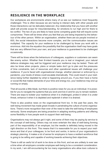#### **RESILIENCE IN THE WORKPLACE**

Our workplaces are environments where many of us see our resilience most frequently challenged. This is often because we are having to interact daily with other people and those interactions can be delicately balanced. Any relationship that you have with another adult will provide scope for misunderstanding, for emotions to run high and for there to be conflict. The two of you are likely to have some competing goals that will require some compromise. There will be times when you feel that you are being impacted by the behaviour of the other person. Within an organisation, whether there are six people involved or 600, the social interactions become more complex, and the communication issues are multiplied. The capacity for your resilience to be challenged by those you work with is enormous. Add into the equation the possibility that the organisation itself may have goals that are very different from your own, and your resilience is guaranteed to be challenged occasionally.

There will be times when the behaviours of colleagues, suppliers or customers can seem like enemy action. Whether their ill-intent towards you is real or imagined, your natural defence strategies may well be triggered and your resilience may be tested. There will also be times when projects, plans or simple tasks don't go to plan and the pressures of time constraints, lack of resources and other operational issues will challenge your resilience. If you're faced with organisational change, whether planned or enforced by a pandemic, your levels of stress could escalate dramatically. This could result in your resilience being further depleted by what is happening around you. If you then have a home or social life that makes demands of your time and energy too, your resilience may end up running on empty.

That all sounds a little bleak, but there is positive news for you as an individual. It is possible for you to navigate the systems that you work and live in and for you to remain resilient. There are ways to bolster your resilience when it is challenged, protect it when it is under threat, enhance it when it is depleted and replenish it when it is drained.

There is also positive news on the organisational front too. In the past few years, the well-being movement has made great inroads in penetrating the culture of some organisations. There's more recognition than ever of the need to take the well-being of employees seriously. Some employers are being proactive in adapting working patterns and offering some flexibility in how people work to support their well-being.

Organisations may not always get it right, and some of them may be paying lip service to the concept of well-being. Others may not even entertain the idea of well-being forming part of the responsibility of an employer, but the needle is definitely being moved in the right direction on this front. This means that it is reasonable for you to expect your resilience and that of your colleagues, to be front and centre, in terms of your organisation's strategic planning. It makes a lot of sense for employers to have a resilient workforce that is going to be willing and capable of working towards achieving their objectives.

There is still an awful lot of work to be done on this front, and we are unlikely to ever see a time when all employers consider employee well-being to be a consistent consideration. In my work, I am still encountering far too many organisations who allow toxic cultures to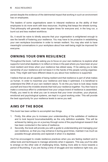persist despite the evidence of the detrimental impact that working in such an environment has on employees.

The leaders of some organisations seem to interpret resilience as the ability of their employees to do more work with less resources. Anything that keeps the wheels turning. That philosophy will generally mean tougher times for everyone and, in the long run, a burnt out and less resilient workforce.

So, it would be naive to blindly assume that your organisation is enlightened enough to see the benefit of fostering your resilience. You may have to be proactive in establishing your own workplace boundaries in order to remain resilient. You may also wish to have meaningful conversations in your workplace about how well-being might be improved for everyone.

#### **OWNING YOUR OWN RESILIENCE**

Throughout the book, I will be asking you to focus on your own resilience; to explore what supports it and what depletes it; to reflect on times in the past where you have been at your most resilient and times when your resilience has ebbed away. I'll be asking you to take ownership of your resilience and not leave it in the hands of the people running organisations. They might well have different ideas to you about how resilience is supported.

I believe that we are all capable of being resilient and that resilience is part of what makes us human. In order to maximise your resilience and keep it optimised, it is beneficial to understand the DNA of your own resilient nature. To do this you have to look deep inside yourself and trace the invisible strands that hold your resilience together. You then have to make a conscious effort to understand how your unique brand of resilience is assembled. Finally, you need to do what you can to ensure that your inner circuitries, your physical, emotional and psychological systems, are kept in a good working order. This will provide the best opportunity for your resilience levels to serve you well.

#### **AIMS OF THE BOOK**

This book has been written to accomplish two things.

- 1. Firstly, this allow you to increase your understanding of the subtleties of resilience and to look beyond bouncebackability as the only definition available. This will be achieved by taking you on a journey through some of the psychological research that has been conducted in the name of resilience.
- 2. Secondly, the book will provide you with a guide to understanding and managing your own resilience, so that you may enhance it during good times, maintain it as much as possible through adversity and replenish it when it is depleted.

You'll be encouraged to create resilience practices when you are feeling resilient and to utilise tools and techniques to manage adversity when it appears. This way you'll be able to emerge on the other side of challenging times, feeling more able to move towards a period of flourishing. If you are facing a time of struggle and low resilience right now, you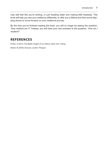may well feel like you're sinking, or just treading water and making little headway. This book will help you see your resilience differently, to offer you a lifeline and then some stepping stones to move forward on your resilience journey.

By the time you've finished reading the book, you will no longer be asking the question, '*How resilient am I?*' Instead, you will have your own answers to the question, '*How am I resilient?*'

#### **REFERENCES**

Pinker, S (2011) *The Better Angels of our Nature*, New York: Viking.

Stoker, B (2004) *Dracula*, London: Penguin.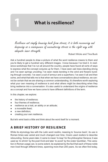#### **What is resilience?**

Resilience not simply bouncing back from stress; it is both recovering and deepening as a consequence of encountering stress in the right way with adequate inner strength.

Robert Wicks and Tina Buck

Ask a hundred people to draw a picture of what the word resilience means to them and you're likely to get a hundred very different images. I know because I've tried it. In resilience workshops that I've run all around the country, people have found all sorts of ways to express what the concept conjures up for them. I have seen oak trees standing strong and I've seen springs uncoiling; I've seen reeds bending in the wind and flowers bursting through concrete. I've seen a suit of armour and a superhero; I've seen it all and then some, and what that tells me is that when we have conversations about resilience, we cannot be certain that we are sharing a common understanding. It's therefore worth exploring what your own meaning of resilience is and what others might be describing when they bring resilience into a conversation. It's also useful to understand the origins of resilience as a concept and how we have come to have different definitions of the term.

In this chapter, we explore:

**1**

- the history of resilience;
- four themes of resilience;
- resilience as a trait, an ability or an attitude;
- a moveable feast:
- a new definition:
- creating your own resilience.

But let's wind back a little and think about the word itself for a moment.

#### **A BRIEF HISTORY OF RESILIENCE**

While its etymology lies with the Latin word *resilire*, meaning to '*bounce back*', its use in Roman times was varied and much changed over time. Cicero used *resilere* to describe rebounding. Some years later, it came to mean '*to leap*' for the philosopher Seneca; it was used as '*to shrink*' by the poet Ovid and later '*to avoid*' by the orator Quintilian. This variation in Roman usage can, to some extent, be explained by the fact that each of these noble men lived through different times, spanning more than 200 years. As we often find today,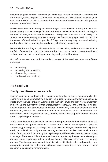language acquires different meanings as words pass through generations. In this regard, the Romans, as well as giving us the roads, the aqueducts, viniculture and sanitation, may well have provided us with a precedent that we've since followed for the multi-purpose nature of the term resilience.

Resilience can be found throughout written English since the time of Henry VIII in the sixteenth century with a meaning of '*to rebound*'. By the middle of the nineteenth century, the term had also begun to be used in the sense of being able to recover from adversity. The Americans, forever looking for ways to corrupt the English language, used it to describe the resourceful and industrious people of Tokyo, and the way they recovered following earthquakes. Not rebounding, but slowly and painstakingly recovering.

Meanwhile, back in England, during the industrial revolution, resilience was also used in the field of mechanics to describe materials that could both withstand pressure and bend without breaking. Not rebounding or bouncing back, just not breaking.

So, before we even approach the modern usages of the word, we have four different meanings:

- rebounding;
- recovering from adversity;
- withstanding pressure;
- bending without breaking.

#### **RESEARCH**

#### **Early resilience research**

It wasn't until the second half of the twentieth century that resilience became really interesting from a people perspective. It began to be used in both psychology and sociology, starting with the work of Emmy Werner in the 1950s in Hawaii and then Norman Garmezy in the 1970s and 1980s in the United States. Both Werner (2012) and Garmezy (1991) conducted separate long-term studies of children in chronically adverse situations. For both researchers, children who exceeded their expectations, based on the pressures of their environment, were categorised as being resilient; thus followed a greater body of research around psychological resilience.

At the same time as the psychologists were making headway in their studies, other scientists were focusing their attention on resilience too. Within the disciplines of physics, anthropology, ecology and sociology, the subject started being explored extensively. Each discipline had their own unique way of viewing resilience and evolved their own interpretations of the concept. Even among the psychologists, different views on resilience started to emerge. There were different perspectives from sports psychology, occupational psychology, social psychology, educational psychology, child psychology and positive psychology. This interest across a variety of disciplines did little to help psychologists agree on a particular definition of the term, with each realm supporting its own view and finding research to back up their interpretation.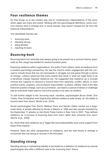#### **Four resilience themes**

So that brings us to the modern day and to contemporary interpretations of the word, which again are many and varied. Sticking with the psychological definitions, some common themes start to emerge and, in some senses, they haven't strayed too far from the historical interpretations.

The identifiable themes are:

- 1. bouncing back;
- 2. standing strong;
- 3. being flexible;
- 4. reaching forward.

#### *Bouncing back*

Bouncing back from adversity was always going to be present as a common theme, especially as this usage has existed for several hundred years.

Exploring resilience within organisations, the author Fred Luthans came at resilience from a positive psychology perspective. He saw the need to widen engagement with the concept to include those that are not necessarily in struggle, but just going through a period of change. Luthans observed that some events that result in what we might think of as a beneficial change required resilience too. He suggested that resilience as a concept involves the *'capacity to rebound or bounce back from adversity, conflict, failure, or even positive events, progress, and increased responsibility*' (Luthans, 2002a). Here is the idea that even positive change, such as a promotion, can lead to a period of stress or challenge that an individual might need to overcome quickly to be seen as resilient.

To add further weight to the '*bouncing back*' narrative, psychologists Bruce Smith, Erin Tooley, Paul Christopher and Virginia Kay defined resilience quite simply, as '*the ability to bounce back from stress*' (Smith et al., 2010).

Social psychologists Fran Norris, Melissa Tracy and Sandro Galea carried out a largescale study of people affected by floods in Mexico in 1999 and also people impacted by the September 11 attacks on the World Trade Centre in New York in 2001. They defined resilience as '*a process of bouncing back from harm rather than immunity from harm*' (Norris et al., 2009).

So, those that view resilience as a Tigger-like *bouncebackability* have some support from these three experts.

However, there are other perspectives on resilience, and the next theme to emerge is concerned with not having to recover in the first place.

#### *Standing strong*

Standing strong or maintaining stability is promoted as a definition of resilience by several psychologists who offer a different view to the '*bouncing back*' theory.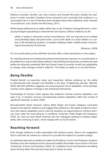Defence scientists Jennifer Lee, Kerry Sudom and Donald McCreary studied the resilience of newly recruited Canadian forces personnel and concluded that resilience is a '*personality trait or a set of individual level variables that protect wellbeing under stressful circumstances*' (Lee, Sudom and McCreary, 2011).

While seeing resilience as an ability rather than a trait, Professor George Bonanno, a clinical psychologist specialising in bereavement and trauma, defines resilience as the

*ability of adults in otherwise normal circumstances, who are exposed to an isolated and potentially highly disruptive event, such as the death of a close relation or a violent or life-threatening situation, to maintain relatively stable, healthy levels of psychological and physical functioning.*

(Bonanno, 2008)

It's not a particularly punchy definition but does offer a fresh perspective on the subject.

So, standing strong and resisting the pressure that adversity imposes on us would seem to be justified as a way of describing resilience. But standing strong leaves us where we were before the adversity presented itself and doesn't seem to provide us with any adaptability to change, when change is what is called for. This leads us neatly on to our third theme.

#### *Being flexible*

Freddie Barrett, an executive coach and researcher, defines resilience as '*the ability to demonstrate both strength and flexibility in the face of frightening disorder*' (Barrett, 2004). Barrett's definition suggests not a bouncing back but an adaptation, which perhaps involves some degree of change in the individuals themselves.

Psychologist Dr Suniya Luthar agrees that resilience involves positive adaptation and sees it as, '*A dynamic process encompassing positive adaptation within the context of significant adversity*' (Luthar, 2006).

Educationalists Sarah Huisman, Nancy Robb Singer and Susan Catapano conducted research into teacher resilience and suggest that resilience is '*the ability to adjust to situations that require adaptation and to view the situations as opportunities to continue learning, even under the most adverse of conditions*' (Huisman, Robb Singer and Catapano, 2010). So, here we have Sarah Huisman and her colleagues starting to combine adaptability with continuing to learn, which merges with our fourth theme.

#### *Reaching forward*

Even though resilience is often associated with adverse events, there is the suggestion that it could also be viewed as a resource to provide the impetus for positive change.

An optimistic approach to resilience is taken by Dr Kathryn Connor and Professor Jonathon Davidson who see resilience as the '*personal qualities that enable one to thrive in the face of adversity*' (Connor and Davidson, 2003). So, suddenly Connor and Davidson are talking about thriving rather than just bouncing back to where we were.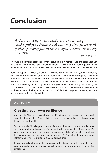### **Conclusion**

Resilience: the ability to choose whether to maintain or adapt your thoughts, feelings and behaviours while encountering challenges and periods of adversity, equipping yourself with new insights to support your continuing life journey.

Tom Dillon (2021)

This was the definition of resilience that I carved out in Chapter 1 and one that I hope you have had in mind as you have continued reading. We've come on quite a journey since then and covered a lot of ground as we've explored resilience and all that's involved with it.

Back in Chapter 1, I invited you to draw resilience as you envision it for yourself. Hopefully, you accepted the invitation and your artwork is now adorning your fridge as a reminder of how resilient you are. Having had the opportunity to read the book and expand your awareness of the complexities of resilience you may have a different view. So, I thought it would be interesting for you to try the exercise again and incorporate any new learning that you've taken from your exploration of resilience. If you didn't feel sufficiently resourced to try the exercise at the beginning of the book, don't let that stop you from having a go now and engaging with the artist within you.

#### **ACTIVITY**

#### **Creating your own resilience**

As I said in Chapter 1, sometimes, it's difficult to put our ideas into words and engaging the right side of our brain to access the creative part of us is the only way to express our thoughts.

So, once again I'd invite you to take an A4 sheet of paper and some pencils, pens or crayons and spend a couple of minutes drawing your version of resilience. It's your image for your own amusement and interest and it doesn't have to be anything too intricate. Just pour out what comes to mind. You're just capturing your ideas rather than proving your credentials as a serious artist.

If you were adventurous at the beginning of the book, you will be able to compare your earlier version of resilience with your current drawing and reflect on the differences.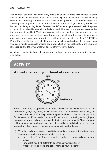If you haven't engaged with either of my artistic invitations, there is still a chance for some final reflections on the subject of resilience. We've explored the concept of resilience being like an internal energy source that hums away, unextinguished by all the challenges and adversity that life presents you with. I likened it to E.T.'s heartlight that may be dimmed but not completely extinguished. Some of the difficult times you face will drain the power from your internal resilience until you feel depleted. However, it is important to remember that you are still resilient. That inner core of resilience, that heartlight of yours, still has an energy reserve that will keep you ticking along albeit at a low level. As you tackle challenges at work and face adversity, you will be able to tap into any of the TELEGRAM Power Packs of Resilience. Each of them will be able to provide a boost to your resilience. If you continue to make agile choices about your situation you will hopefully find your resilience replenished to levels what will see you thriving in the future.

As a final reflection, just consider where your resilience level is now by following the exercise below.

#### **ACTIVITY**



#### **A final check on your level of resilience**

Back in Chapter 4, I suggested that your resilience levels could be measured like a needle on a gauge registering levels between 1 and 10. If the needle is pointing to 1 on the scale, then you're likely to be crumpled in a heap on the floor and just not functioning at all. If the needle is at level 10 then you will be feeling as though you can cope with any challenge or adversity that comes your way. In Chapter 4 you calibrated your own resilience levels for both good times and challenging times, so you probably have a good sense of your own resilience levels now.

- 1) With that resilience gauge in mind take some time to answer these final resilience questions for how you're feeling currently.
	- On a scale of 1 to 10, where does the needle sit on your resilience gauge today?
	- How might you think differently to enhance your resilience?
	- What could you be doing to better manage your emotions?